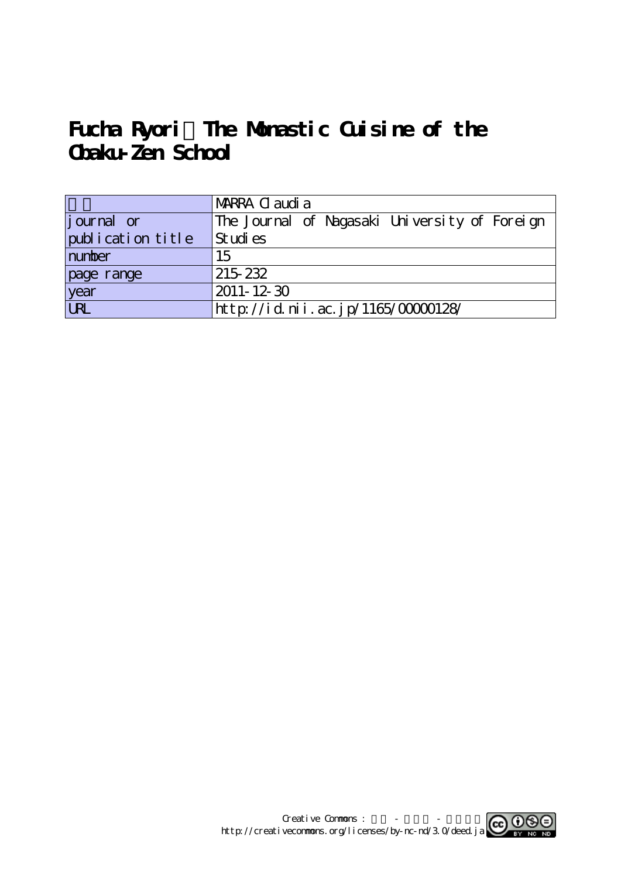# **Fucha Ryori:The Monastic Cuisine of the Obaku-Zen School**

|                    | MARRA C audi a                                |
|--------------------|-----------------------------------------------|
| <i>j</i> ournal or | The Journal of Nagasaki University of Foreign |
| publication title  | Studies                                       |
| number             | 15                                            |
| page range         | 215 232                                       |
| $\frac{year}{URL}$ | $2011 - 12 - 30$                              |
|                    | http://id.nii.ac.jp/1165/00000128/            |

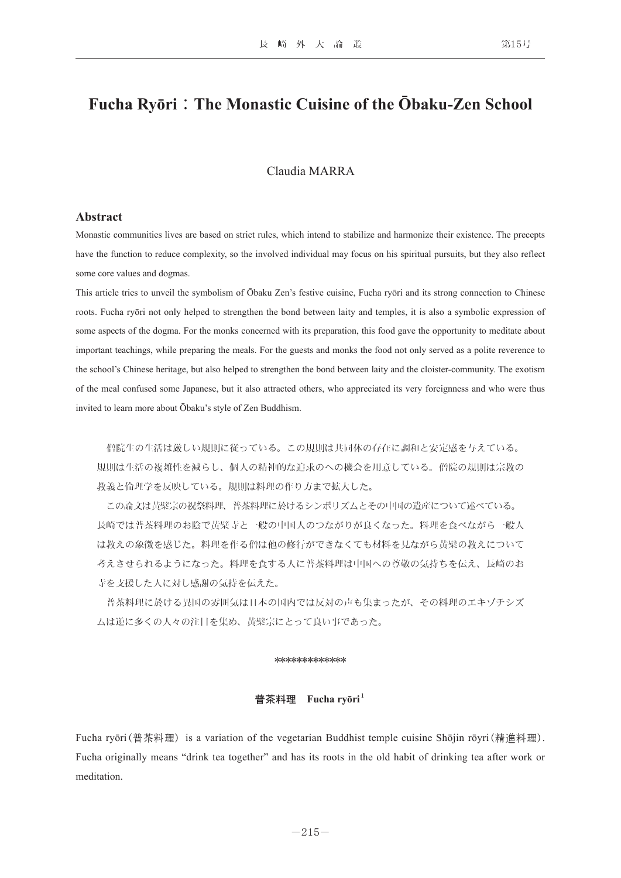# **Fucha Ryōri**:**The Monastic Cuisine of the Ōbaku-Zen School**

# Claudia MARRA

## **Abstract**

Monastic communities lives are based on strict rules, which intend to stabilize and harmonize their existence. The precepts have the function to reduce complexity, so the involved individual may focus on his spiritual pursuits, but they also reflect some core values and dogmas.

This article tries to unveil the symbolism of Ōbaku Zen's festive cuisine, Fucha ryōri and its strong connection to Chinese roots. Fucha ryōri not only helped to strengthen the bond between laity and temples, it is also a symbolic expression of some aspects of the dogma. For the monks concerned with its preparation, this food gave the opportunity to meditate about important teachings, while preparing the meals. For the guests and monks the food not only served as a polite reverence to the school's Chinese heritage, but also helped to strengthen the bond between laity and the cloister-community. The exotism of the meal confused some Japanese, but it also attracted others, who appreciated its very foreignness and who were thus invited to learn more about Ōbaku's style of Zen Buddhism.

 僧院生の生活は厳しい規則に従っている。この規則は共同体の存在に調和と安定感を与えている。 規則は生活の複雑性を減らし、個人の精神的な追求のへの機会を用意している。僧院の規則は宗教の 教義と倫理学を反映している。規則は料理の作り方まで拡大した。

 この論文は黄檗宗の祝祭料理、普茶料理に於けるシンボリズムとその中国の遺産について述べている。 長崎では普茶料理のお陰で黄檗寺と一般の中国人のつながりが良くなった。料理を食べながら一般人 は教えの象徴を感じた。料理を作る僧は他の修行ができなくても材料を見ながら黄檗の教えについて 考えさせられるようになった。料理を食する人に普茶料理は中国への尊敬の気持ちを伝え、長崎のお 寺を支援した人に対し感謝の気持を伝えた。

 普茶料理に於ける異国の雰囲気は日本の国内では反対の声も集まったが、その料理のエキゾチシズ ムは逆に多くの人々の注目を集め、黄檗宗にとって良い事であった。

#### \*\*\*\*\*\*\*\*\*\*\*\*

#### 普茶料理 **Fucha ryōri**

Fucha ryōri(普茶料理) is a variation of the vegetarian Buddhist temple cuisine Shōjin rōyri(精進料理). Fucha originally means "drink tea together" and has its roots in the old habit of drinking tea after work or meditation.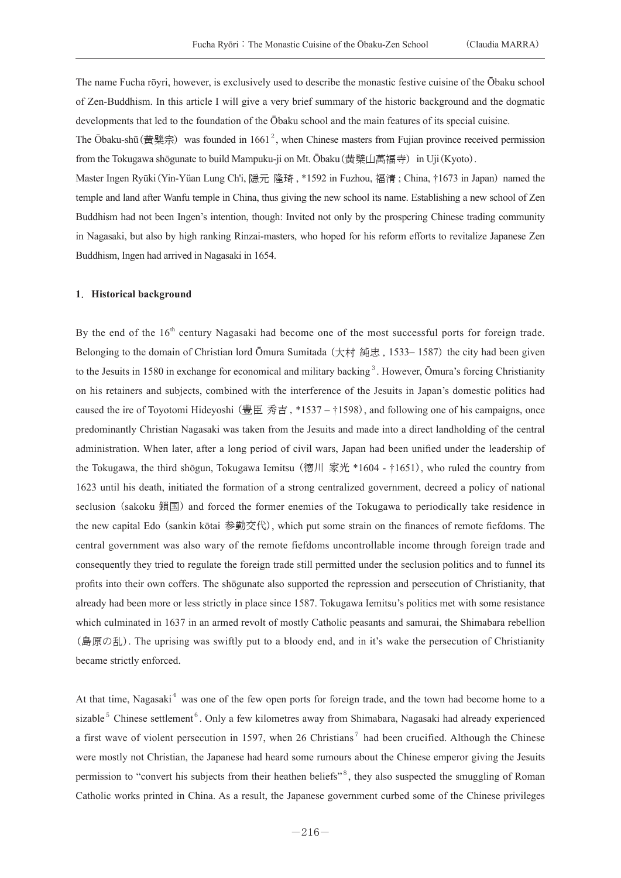The name Fucha rōyri, however, is exclusively used to describe the monastic festive cuisine of the Ōbaku school of Zen-Buddhism. In this article I will give a very brief summary of the historic background and the dogmatic developments that led to the foundation of the Ōbaku school and the main features of its special cuisine.

The Ōbaku-shū(黄檗宗) was founded in 1661<sup>2</sup>, when Chinese masters from Fujian province received permission from the Tokugawa shōgunate to build Mampuku-ji on Mt. Ōbaku (黄檗山萬福寺) in Uji(Kyoto).

Master Ingen Ryūki (Yin-Yüan Lung Ch'i, 隱元 隆琦, \*1592 in Fuzhou, 福清; China, †1673 in Japan) named the temple and land after Wanfu temple in China, thus giving the new school its name. Establishing a new school of Zen Buddhism had not been Ingen's intention, though: Invited not only by the prospering Chinese trading community in Nagasaki, but also by high ranking Rinzai-masters, who hoped for his reform efforts to revitalize Japanese Zen Buddhism, Ingen had arrived in Nagasaki in 1654.

#### **1**.**Historical background**

By the end of the  $16<sup>th</sup>$  century Nagasaki had become one of the most successful ports for foreign trade. Belonging to the domain of Christian lord Ōmura Sumitada ( $\pm \pi i$ ) # (1533–1587) the city had been given to the Jesuits in 1580 in exchange for economical and military backing<sup>3</sup>. However, Ōmura's forcing Christianity on his retainers and subjects, combined with the interference of the Jesuits in Japan's domestic politics had caused the ire of Toyotomi Hideyoshi (豊臣 秀吉 , \*1537 – †1598), and following one of his campaigns, once predominantly Christian Nagasaki was taken from the Jesuits and made into a direct landholding of the central administration. When later, after a long period of civil wars, Japan had been unified under the leadership of the Tokugawa, the third shōgun, Tokugawa Iemitsu (徳川 家光 \*1604 - †1651), who ruled the country from 1623 until his death, initiated the formation of a strong centralized government, decreed a policy of national seclusion (sakoku 鎖国) and forced the former enemies of the Tokugawa to periodically take residence in the new capital Edo (sankin kōtai 参勤交代), which put some strain on the finances of remote fiefdoms. The central government was also wary of the remote fiefdoms uncontrollable income through foreign trade and consequently they tried to regulate the foreign trade still permitted under the seclusion politics and to funnel its profits into their own coffers. The shōgunate also supported the repression and persecution of Christianity, that already had been more or less strictly in place since 1587. Tokugawa Iemitsu's politics met with some resistance which culminated in 1637 in an armed revolt of mostly Catholic peasants and samurai, the Shimabara rebellion (島原の乱). The uprising was swiftly put to a bloody end, and in it's wake the persecution of Christianity became strictly enforced.

At that time, Nagasaki<sup>4</sup> was one of the few open ports for foreign trade, and the town had become home to a sizable<sup>5</sup> Chinese settlement<sup>6</sup>. Only a few kilometres away from Shimabara, Nagasaki had already experienced a first wave of violent persecution in 1597, when 26 Christians<sup>7</sup> had been crucified. Although the Chinese were mostly not Christian, the Japanese had heard some rumours about the Chinese emperor giving the Jesuits permission to "convert his subjects from their heathen beliefs"<sup>8</sup>, they also suspected the smuggling of Roman Catholic works printed in China. As a result, the Japanese government curbed some of the Chinese privileges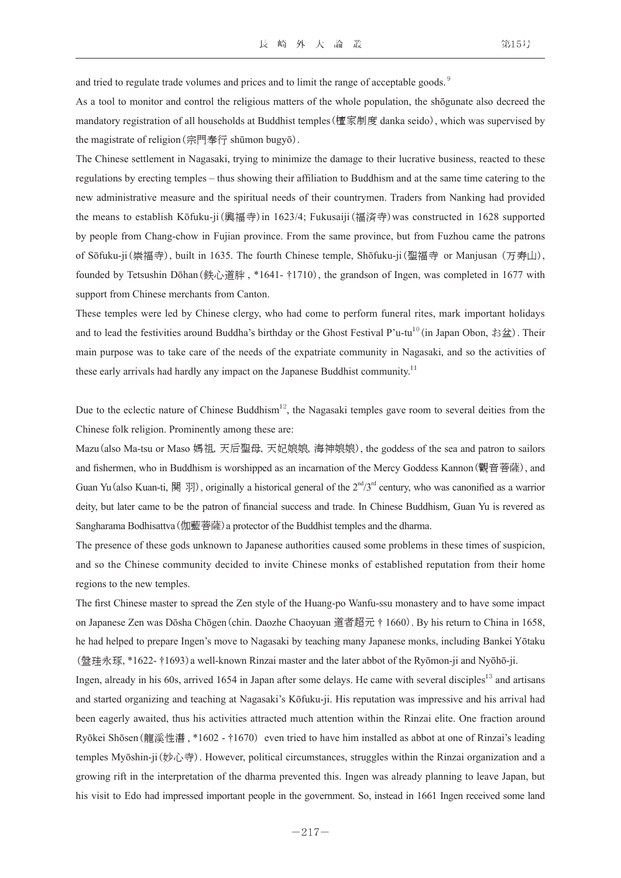and tried to regulate trade volumes and prices and to limit the range of acceptable goods.<sup>9</sup>

As a tool to monitor and control the religious matters of the whole population, the shōgunate also decreed the mandatory registration of all households at Buddhist temples(檀家制度 danka seido), which was supervised by the magistrate of religion(宗門奉行 shūmon bugyō).

The Chinese settlement in Nagasaki, trying to minimize the damage to their lucrative business, reacted to these regulations by erecting temples – thus showing their affiliation to Buddhism and at the same time catering to the new administrative measure and the spiritual needs of their countrymen. Traders from Nanking had provided the means to establish Kōfuku-ji(興福寺)in 1623/4; Fukusaiji(福済寺)was constructed in 1628 supported by people from Chang-chow in Fujian province. From the same province, but from Fuzhou came the patrons of Sōfuku-ji(崇福寺), built in 1635. The fourth Chinese temple, Shōfuku-ji(聖福寺 or Manjusan (万寿山), founded by Tetsushin Dōhan(鉄心道胖 , \*1641- †1710), the grandson of Ingen, was completed in 1677 with support from Chinese merchants from Canton.

These temples were led by Chinese clergy, who had come to perform funeral rites, mark important holidays and to lead the festivities around Buddha's birthday or the Ghost Festival P'u-tu<sup>10</sup> (in Japan Obon, お盆). Their main purpose was to take care of the needs of the expatriate community in Nagasaki, and so the activities of these early arrivals had hardly any impact on the Japanese Buddhist community.<sup>11</sup>

Due to the eclectic nature of Chinese Buddhism<sup>12</sup>, the Nagasaki temples gave room to several deities from the Chinese folk religion. Prominently among these are:

Mazu(also Ma-tsu or Maso 媽祖, 天后聖母, 天妃娘娘, 海神娘娘), the goddess of the sea and patron to sailors and fishermen, who in Buddhism is worshipped as an incarnation of the Mercy Goddess Kannon(觀音菩薩), and Guan Yu(also Kuan-ti, 関 羽), originally a historical general of the  $2<sup>nd</sup>/3<sup>rd</sup>$  century, who was canonified as a warrior deity, but later came to be the patron of financial success and trade. In Chinese Buddhism, Guan Yu is revered as Sangharama Bodhisattva(伽藍菩薩)a protector of the Buddhist temples and the dharma.

The presence of these gods unknown to Japanese authorities caused some problems in these times of suspicion, and so the Chinese community decided to invite Chinese monks of established reputation from their home regions to the new temples.

The first Chinese master to spread the Zen style of the Huang-po Wanfu-ssu monastery and to have some impact on Japanese Zen was Dōsha Chōgen(chin. Daozhe Chaoyuan 道者超元 † 1660). By his return to China in 1658, he had helped to prepare Ingen's move to Nagasaki by teaching many Japanese monks, including Bankei Yōtaku (盤珪永琢, \*1622- †1693)a well-known Rinzai master and the later abbot of the Ryōmon-ji and Nyōhō-ji.

Ingen, already in his 60s, arrived 1654 in Japan after some delays. He came with several disciples<sup>13</sup> and artisans and started organizing and teaching at Nagasaki's Kōfuku-ji. His reputation was impressive and his arrival had been eagerly awaited, thus his activities attracted much attention within the Rinzai elite. One fraction around Ryōkei Shōsen (龍溪性潛, \*1602 - †1670) even tried to have him installed as abbot at one of Rinzai's leading temples Myōshin-ji(妙心寺). However, political circumstances, struggles within the Rinzai organization and a growing rift in the interpretation of the dharma prevented this. Ingen was already planning to leave Japan, but his visit to Edo had impressed important people in the government. So, instead in 1661 Ingen received some land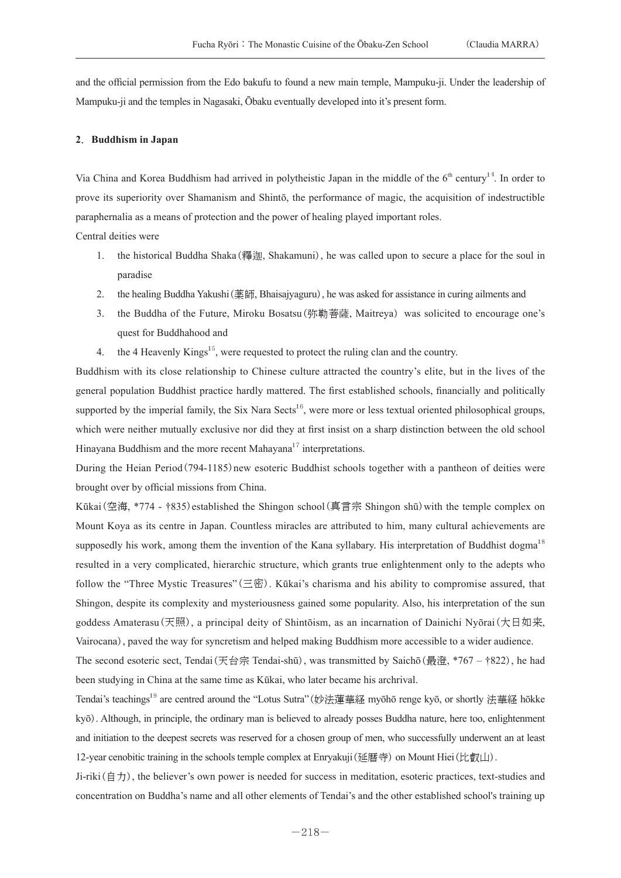and the official permission from the Edo bakufu to found a new main temple, Mampuku-ji. Under the leadership of Mampuku-ji and the temples in Nagasaki, Ōbaku eventually developed into it's present form.

#### **2**.**Buddhism in Japan**

Via China and Korea Buddhism had arrived in polytheistic Japan in the middle of the  $6<sup>th</sup>$  century<sup>14</sup>. In order to prove its superiority over Shamanism and Shintō, the performance of magic, the acquisition of indestructible paraphernalia as a means of protection and the power of healing played important roles.

Central deities were

- 1. the historical Buddha Shaka(釋迦, Shakamuni), he was called upon to secure a place for the soul in paradise
- 2. the healing Buddha Yakushi(薬師, Bhaisajyaguru), he was asked for assistance in curing ailments and
- 3. the Buddha of the Future, Miroku Bosatsu(弥勒菩薩, Maitreya)was solicited to encourage one's quest for Buddhahood and
- 4. the 4 Heavenly Kings<sup>15</sup>, were requested to protect the ruling clan and the country.

Buddhism with its close relationship to Chinese culture attracted the country's elite, but in the lives of the general population Buddhist practice hardly mattered. The first established schools, financially and politically supported by the imperial family, the Six Nara Sects<sup>16</sup>, were more or less textual oriented philosophical groups, which were neither mutually exclusive nor did they at first insist on a sharp distinction between the old school Hinayana Buddhism and the more recent Mahayana<sup>17</sup> interpretations.

During the Heian Period (794-1185) new esoteric Buddhist schools together with a pantheon of deities were brought over by official missions from China.

Kūkai(空海, \*774 - †835) established the Shingon school (真言宗 Shingon shū) with the temple complex on Mount Koya as its centre in Japan. Countless miracles are attributed to him, many cultural achievements are supposedly his work, among them the invention of the Kana syllabary. His interpretation of Buddhist dogma<sup>18</sup> resulted in a very complicated, hierarchic structure, which grants true enlightenment only to the adepts who follow the "Three Mystic Treasures" (三密). Kūkai's charisma and his ability to compromise assured, that Shingon, despite its complexity and mysteriousness gained some popularity. Also, his interpretation of the sun goddess Amaterasu(天照), a principal deity of Shintōism, as an incarnation of Dainichi Nyōrai(大日如来, Vairocana), paved the way for syncretism and helped making Buddhism more accessible to a wider audience.

The second esoteric sect, Tendai(天台宗 Tendai-shū), was transmitted by Saichō(最澄, \*767 – †822), he had been studying in China at the same time as Kūkai, who later became his archrival.

Tendai's teachings<sup>19</sup> are centred around the "Lotus Sutra"(妙法蓮華経 myōhō renge kyō, or shortly 法華経 hōkke kyō). Although, in principle, the ordinary man is believed to already posses Buddha nature, here too, enlightenment and initiation to the deepest secrets was reserved for a chosen group of men, who successfully underwent an at least 12-year cenobitic training in the schools temple complex at Enryakuji(延暦寺) on Mount Hiei(比叡山).

Ji-riki(自力), the believer's own power is needed for success in meditation, esoteric practices, text-studies and concentration on Buddha's name and all other elements of Tendai's and the other established school's training up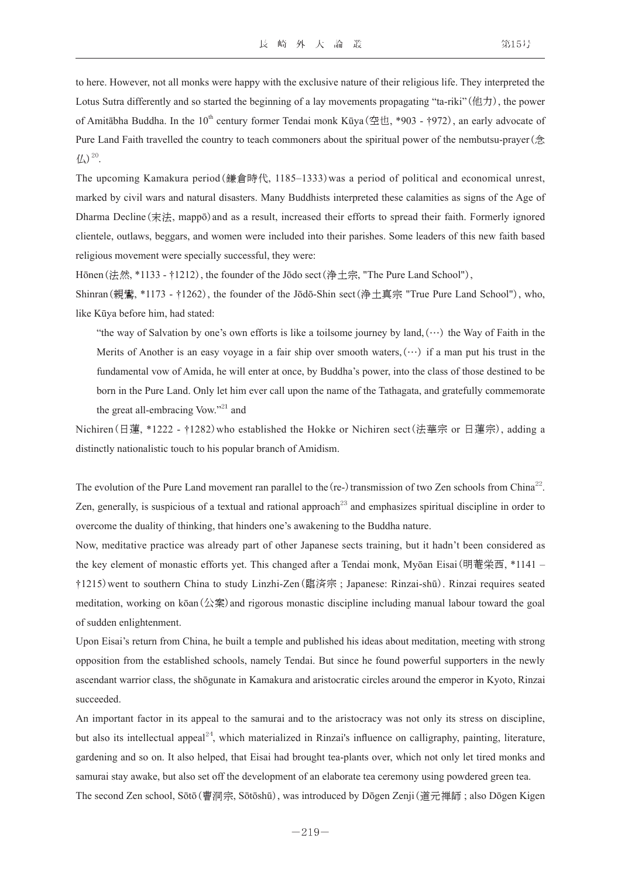to here. However, not all monks were happy with the exclusive nature of their religious life. They interpreted the Lotus Sutra differently and so started the beginning of a lay movements propagating "ta-riki"(他力), the power of Amitābha Buddha. In the 10<sup>th</sup> century former Tendai monk Kūya(空也, \*903 - †972), an early advocate of Pure Land Faith travelled the country to teach commoners about the spiritual power of the nembutsu-prayer(念  $\frac{1}{2}$ .

The upcoming Kamakura period(鎌倉時代, 1185–1333)was a period of political and economical unrest, marked by civil wars and natural disasters. Many Buddhists interpreted these calamities as signs of the Age of Dharma Decline (末法, mappō) and as a result, increased their efforts to spread their faith. Formerly ignored clientele, outlaws, beggars, and women were included into their parishes. Some leaders of this new faith based religious movement were specially successful, they were:

Hōnen (法然, \*1133 - †1212), the founder of the Jōdo sect (浄土宗, "The Pure Land School"),

Shinran(親鸞, \*1173 - †1262), the founder of the Jōdō-Shin sect(浄土真宗 "True Pure Land School"), who, like Kūya before him, had stated:

"the way of Salvation by one's own efforts is like a toilsome journey by land,  $(\cdots)$  the Way of Faith in the Merits of Another is an easy voyage in a fair ship over smooth waters,  $(\cdots)$  if a man put his trust in the fundamental vow of Amida, he will enter at once, by Buddha's power, into the class of those destined to be born in the Pure Land. Only let him ever call upon the name of the Tathagata, and gratefully commemorate the great all-embracing Vow."<sup>21</sup> and

Nichiren(日蓮, \*1222 - †1282)who established the Hokke or Nichiren sect(法華宗 or 日蓮宗), adding a distinctly nationalistic touch to his popular branch of Amidism.

The evolution of the Pure Land movement ran parallel to the (re-) transmission of two Zen schools from China<sup>22</sup>. Zen, generally, is suspicious of a textual and rational approach<sup>23</sup> and emphasizes spiritual discipline in order to overcome the duality of thinking, that hinders one's awakening to the Buddha nature.

Now, meditative practice was already part of other Japanese sects training, but it hadn't been considered as the key element of monastic efforts yet. This changed after a Tendai monk, Myōan Eisai(明菴栄西, \*1141 – †1215)went to southern China to study Linzhi-Zen(臨済宗 ; Japanese: Rinzai-shū). Rinzai requires seated meditation, working on kōan(公案) and rigorous monastic discipline including manual labour toward the goal of sudden enlightenment.

Upon Eisai's return from China, he built a temple and published his ideas about meditation, meeting with strong opposition from the established schools, namely Tendai. But since he found powerful supporters in the newly ascendant warrior class, the shōgunate in Kamakura and aristocratic circles around the emperor in Kyoto, Rinzai succeeded.

An important factor in its appeal to the samurai and to the aristocracy was not only its stress on discipline, but also its intellectual appeal<sup>24</sup>, which materialized in Rinzai's influence on calligraphy, painting, literature, gardening and so on. It also helped, that Eisai had brought tea-plants over, which not only let tired monks and samurai stay awake, but also set off the development of an elaborate tea ceremony using powdered green tea. The second Zen school, Sōtō(曹洞宗, Sōtōshū), was introduced by Dōgen Zenji(道元禅師 ; also Dōgen Kigen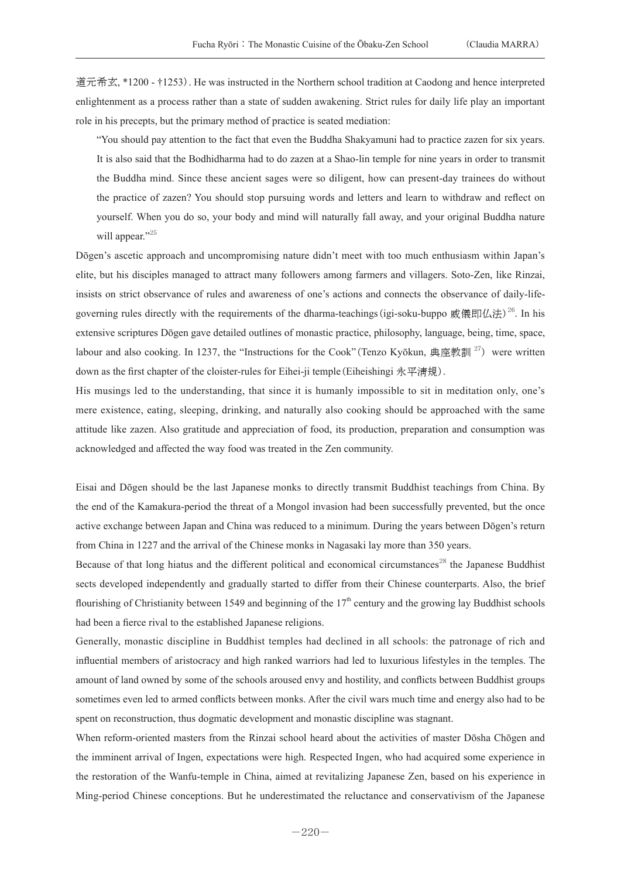道元希玄, \*1200 - †1253). He was instructed in the Northern school tradition at Caodong and hence interpreted enlightenment as a process rather than a state of sudden awakening. Strict rules for daily life play an important role in his precepts, but the primary method of practice is seated mediation:

"You should pay attention to the fact that even the Buddha Shakyamuni had to practice zazen for six years. It is also said that the Bodhidharma had to do zazen at a Shao-lin temple for nine years in order to transmit the Buddha mind. Since these ancient sages were so diligent, how can present-day trainees do without the practice of zazen? You should stop pursuing words and letters and learn to withdraw and reflect on yourself. When you do so, your body and mind will naturally fall away, and your original Buddha nature will appear."<sup>25</sup>

Dōgen's ascetic approach and uncompromising nature didn't meet with too much enthusiasm within Japan's elite, but his disciples managed to attract many followers among farmers and villagers. Soto-Zen, like Rinzai, insists on strict observance of rules and awareness of one's actions and connects the observance of daily-lifegoverning rules directly with the requirements of the dharma-teachings (igi-soku-buppo 威儀即仏法)<sup>26</sup>. In his extensive scriptures Dōgen gave detailed outlines of monastic practice, philosophy, language, being, time, space, labour and also cooking. In 1237, the "Instructions for the Cook" (Tenzo Kyōkun, 典座教訓<sup>27</sup>) were written down as the first chapter of the cloister-rules for Eihei-ji temple(Eiheishingi 永平淸規).

His musings led to the understanding, that since it is humanly impossible to sit in meditation only, one's mere existence, eating, sleeping, drinking, and naturally also cooking should be approached with the same attitude like zazen. Also gratitude and appreciation of food, its production, preparation and consumption was acknowledged and affected the way food was treated in the Zen community.

Eisai and Dōgen should be the last Japanese monks to directly transmit Buddhist teachings from China. By the end of the Kamakura-period the threat of a Mongol invasion had been successfully prevented, but the once active exchange between Japan and China was reduced to a minimum. During the years between Dōgen's return from China in 1227 and the arrival of the Chinese monks in Nagasaki lay more than 350 years.

Because of that long hiatus and the different political and economical circumstances<sup>28</sup> the Japanese Buddhist sects developed independently and gradually started to differ from their Chinese counterparts. Also, the brief flourishing of Christianity between 1549 and beginning of the  $17<sup>th</sup>$  century and the growing lay Buddhist schools had been a fierce rival to the established Japanese religions.

Generally, monastic discipline in Buddhist temples had declined in all schools: the patronage of rich and influential members of aristocracy and high ranked warriors had led to luxurious lifestyles in the temples. The amount of land owned by some of the schools aroused envy and hostility, and conflicts between Buddhist groups sometimes even led to armed conflicts between monks. After the civil wars much time and energy also had to be spent on reconstruction, thus dogmatic development and monastic discipline was stagnant.

When reform-oriented masters from the Rinzai school heard about the activities of master Dōsha Chōgen and the imminent arrival of Ingen, expectations were high. Respected Ingen, who had acquired some experience in the restoration of the Wanfu-temple in China, aimed at revitalizing Japanese Zen, based on his experience in Ming-period Chinese conceptions. But he underestimated the reluctance and conservativism of the Japanese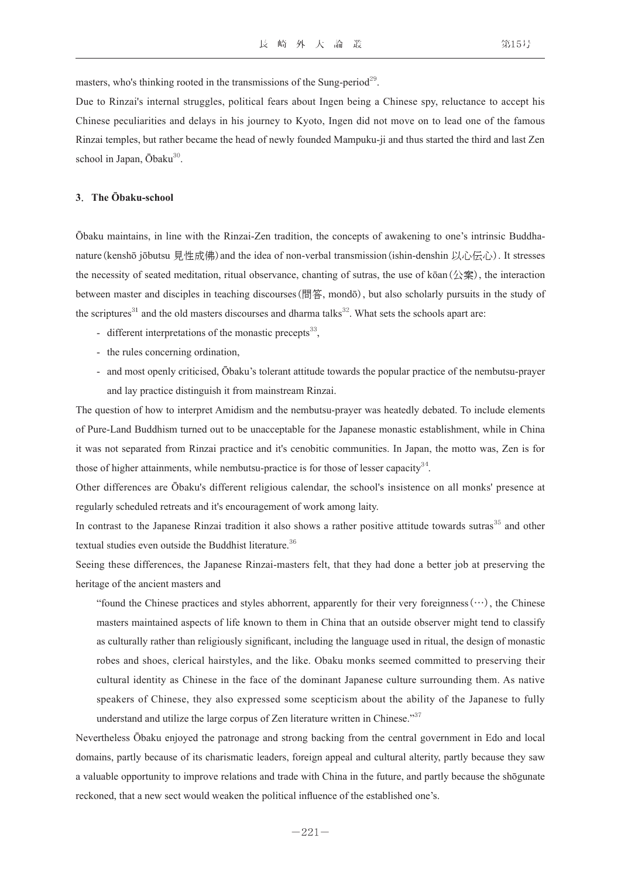masters, who's thinking rooted in the transmissions of the Sung-period<sup>29</sup>.

Due to Rinzai's internal struggles, political fears about Ingen being a Chinese spy, reluctance to accept his Chinese peculiarities and delays in his journey to Kyoto, Ingen did not move on to lead one of the famous Rinzai temples, but rather became the head of newly founded Mampuku-ji and thus started the third and last Zen school in Japan,  $\bar{O}$ baku $^{30}$ .

#### **3**.**The Ōbaku-school**

Ōbaku maintains, in line with the Rinzai-Zen tradition, the concepts of awakening to one's intrinsic Buddhanature(kenshō jōbutsu 見性成佛) and the idea of non-verbal transmission(ishin-denshin 以心伝心). It stresses the necessity of seated meditation, ritual observance, chanting of sutras, the use of kōan(公案), the interaction between master and disciples in teaching discourses(問答, mondō), but also scholarly pursuits in the study of the scriptures<sup>31</sup> and the old masters discourses and dharma talks<sup>32</sup>. What sets the schools apart are:

- different interpretations of the monastic precepts $^{33}$ ,
- the rules concerning ordination,
- - and most openly criticised, Ōbaku's tolerant attitude towards the popular practice of the nembutsu-prayer and lay practice distinguish it from mainstream Rinzai.

The question of how to interpret Amidism and the nembutsu-prayer was heatedly debated. To include elements of Pure-Land Buddhism turned out to be unacceptable for the Japanese monastic establishment, while in China it was not separated from Rinzai practice and it's cenobitic communities. In Japan, the motto was, Zen is for those of higher attainments, while nembutsu-practice is for those of lesser capacity<sup>34</sup>.

Other differences are Ōbaku's different religious calendar, the school's insistence on all monks' presence at regularly scheduled retreats and it's encouragement of work among laity.

In contrast to the Japanese Rinzai tradition it also shows a rather positive attitude towards sutras<sup>35</sup> and other textual studies even outside the Buddhist literature.<sup>36</sup>

Seeing these differences, the Japanese Rinzai-masters felt, that they had done a better job at preserving the heritage of the ancient masters and

"found the Chinese practices and styles abhorrent, apparently for their very foreignness  $(\cdots)$ , the Chinese masters maintained aspects of life known to them in China that an outside observer might tend to classify as culturally rather than religiously significant, including the language used in ritual, the design of monastic robes and shoes, clerical hairstyles, and the like. Obaku monks seemed committed to preserving their cultural identity as Chinese in the face of the dominant Japanese culture surrounding them. As native speakers of Chinese, they also expressed some scepticism about the ability of the Japanese to fully understand and utilize the large corpus of Zen literature written in Chinese."<sup>37</sup>

Nevertheless Ōbaku enjoyed the patronage and strong backing from the central government in Edo and local domains, partly because of its charismatic leaders, foreign appeal and cultural alterity, partly because they saw a valuable opportunity to improve relations and trade with China in the future, and partly because the shōgunate reckoned, that a new sect would weaken the political influence of the established one's.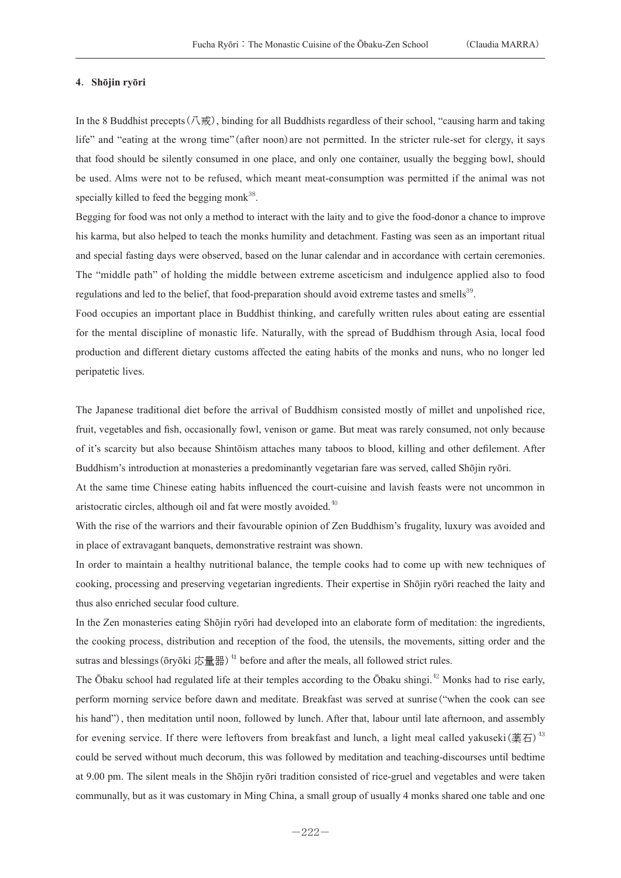#### **4**.**Shōjin ryōri**

In the 8 Buddhist precepts(八戒), binding for all Buddhists regardless of their school, "causing harm and taking life" and "eating at the wrong time"(after noon)are not permitted. In the stricter rule-set for clergy, it says that food should be silently consumed in one place, and only one container, usually the begging bowl, should be used. Alms were not to be refused, which meant meat-consumption was permitted if the animal was not specially killed to feed the begging monk $38$ .

Begging for food was not only a method to interact with the laity and to give the food-donor a chance to improve his karma, but also helped to teach the monks humility and detachment. Fasting was seen as an important ritual and special fasting days were observed, based on the lunar calendar and in accordance with certain ceremonies. The "middle path" of holding the middle between extreme asceticism and indulgence applied also to food regulations and led to the belief, that food-preparation should avoid extreme tastes and smells<sup>39</sup>.

Food occupies an important place in Buddhist thinking, and carefully written rules about eating are essential for the mental discipline of monastic life. Naturally, with the spread of Buddhism through Asia, local food production and different dietary customs affected the eating habits of the monks and nuns, who no longer led peripatetic lives.

The Japanese traditional diet before the arrival of Buddhism consisted mostly of millet and unpolished rice, fruit, vegetables and fish, occasionally fowl, venison or game. But meat was rarely consumed, not only because of it's scarcity but also because Shintōism attaches many taboos to blood, killing and other defilement. After Buddhism's introduction at monasteries a predominantly vegetarian fare was served, called Shōjin ryōri.

At the same time Chinese eating habits influenced the court-cuisine and lavish feasts were not uncommon in aristocratic circles, although oil and fat were mostly avoided.<sup>40</sup>

With the rise of the warriors and their favourable opinion of Zen Buddhism's frugality, luxury was avoided and in place of extravagant banquets, demonstrative restraint was shown.

In order to maintain a healthy nutritional balance, the temple cooks had to come up with new techniques of cooking, processing and preserving vegetarian ingredients. Their expertise in Shōjin ryōri reached the laity and thus also enriched secular food culture.

In the Zen monasteries eating Shōjin ryōri had developed into an elaborate form of meditation: the ingredients, the cooking process, distribution and reception of the food, the utensils, the movements, sitting order and the sutras and blessings ( $\bar{\text{or}}$ yōki 応量器)<sup>41</sup> before and after the meals, all followed strict rules.

The Ōbaku school had regulated life at their temples according to the Ōbaku shingi.<sup>42</sup> Monks had to rise early, perform morning service before dawn and meditate. Breakfast was served at sunrise("when the cook can see his hand"), then meditation until noon, followed by lunch. After that, labour until late afternoon, and assembly for evening service. If there were leftovers from breakfast and lunch, a light meal called vakuseki(薬石)<sup>43</sup> could be served without much decorum, this was followed by meditation and teaching-discourses until bedtime at 9.00 pm. The silent meals in the Shōjin ryōri tradition consisted of rice-gruel and vegetables and were taken communally, but as it was customary in Ming China, a small group of usually 4 monks shared one table and one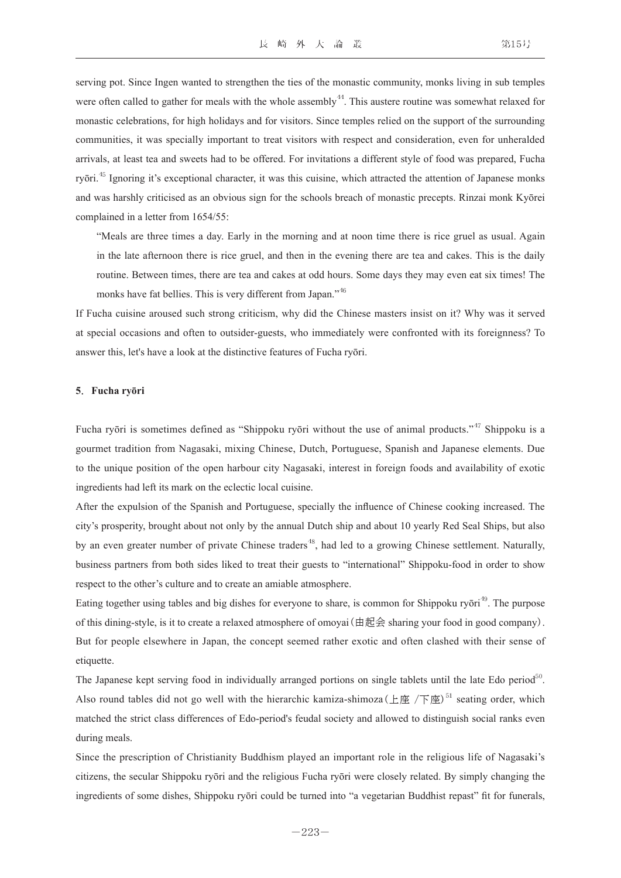serving pot. Since Ingen wanted to strengthen the ties of the monastic community, monks living in sub temples were often called to gather for meals with the whole assembly  $44$ . This austere routine was somewhat relaxed for monastic celebrations, for high holidays and for visitors. Since temples relied on the support of the surrounding communities, it was specially important to treat visitors with respect and consideration, even for unheralded arrivals, at least tea and sweets had to be offered. For invitations a different style of food was prepared, Fucha ryōri.<sup>45</sup> Ignoring it's exceptional character, it was this cuisine, which attracted the attention of Japanese monks and was harshly criticised as an obvious sign for the schools breach of monastic precepts. Rinzai monk Kyōrei complained in a letter from 1654/55:

"Meals are three times a day. Early in the morning and at noon time there is rice gruel as usual. Again in the late afternoon there is rice gruel, and then in the evening there are tea and cakes. This is the daily routine. Between times, there are tea and cakes at odd hours. Some days they may even eat six times! The monks have fat bellies. This is very different from Japan."<sup>46</sup>

If Fucha cuisine aroused such strong criticism, why did the Chinese masters insist on it? Why was it served at special occasions and often to outsider-guests, who immediately were confronted with its foreignness? To answer this, let's have a look at the distinctive features of Fucha ryōri.

#### **5**.**Fucha ryōri**

Fucha ryōri is sometimes defined as "Shippoku ryōri without the use of animal products."<sup>47</sup> Shippoku is a gourmet tradition from Nagasaki, mixing Chinese, Dutch, Portuguese, Spanish and Japanese elements. Due to the unique position of the open harbour city Nagasaki, interest in foreign foods and availability of exotic ingredients had left its mark on the eclectic local cuisine.

After the expulsion of the Spanish and Portuguese, specially the influence of Chinese cooking increased. The city's prosperity, brought about not only by the annual Dutch ship and about 10 yearly Red Seal Ships, but also by an even greater number of private Chinese traders<sup>48</sup>, had led to a growing Chinese settlement. Naturally, business partners from both sides liked to treat their guests to "international" Shippoku-food in order to show respect to the other's culture and to create an amiable atmosphere.

Eating together using tables and big dishes for everyone to share, is common for Shippoku ryōri<sup>49</sup>. The purpose of this dining-style, is it to create a relaxed atmosphere of omoyai (由起会 sharing your food in good company). But for people elsewhere in Japan, the concept seemed rather exotic and often clashed with their sense of etiquette.

The Japanese kept serving food in individually arranged portions on single tablets until the late Edo period<sup>50</sup>. Also round tables did not go well with the hierarchic kamiza-shimoza (上座 /下座)<sup>51</sup> seating order, which matched the strict class differences of Edo-period's feudal society and allowed to distinguish social ranks even during meals.

Since the prescription of Christianity Buddhism played an important role in the religious life of Nagasaki's citizens, the secular Shippoku ryōri and the religious Fucha ryōri were closely related. By simply changing the ingredients of some dishes, Shippoku ryōri could be turned into "a vegetarian Buddhist repast" fit for funerals,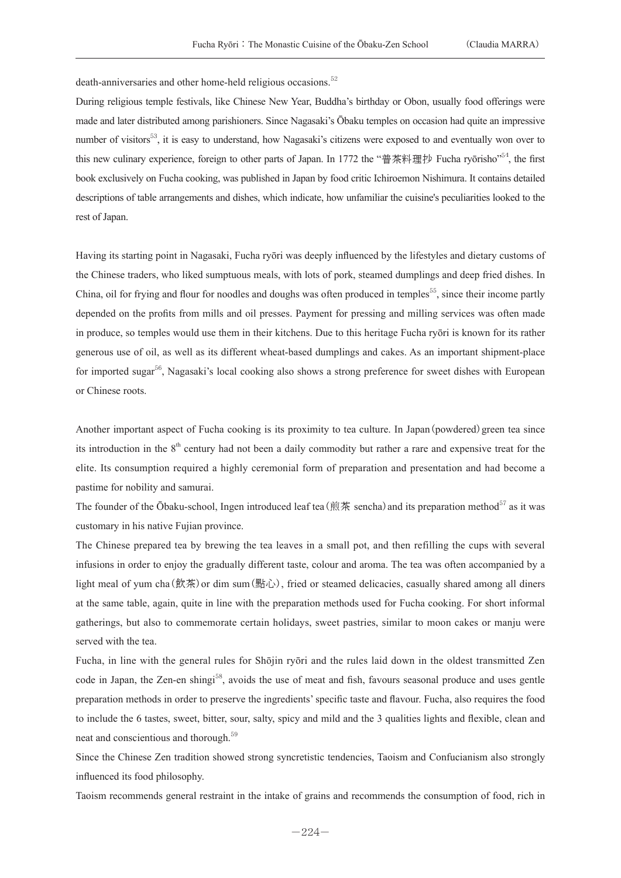death-anniversaries and other home-held religious occasions.<sup>52</sup>

During religious temple festivals, like Chinese New Year, Buddha's birthday or Obon, usually food offerings were made and later distributed among parishioners. Since Nagasaki's Ōbaku temples on occasion had quite an impressive number of visitors<sup>53</sup>, it is easy to understand, how Nagasaki's citizens were exposed to and eventually won over to this new culinary experience, foreign to other parts of Japan. In 1772 the "普茶料理抄 Fucha ryōrisho"<sup>54</sup>, the first book exclusively on Fucha cooking, was published in Japan by food critic Ichiroemon Nishimura. It contains detailed descriptions of table arrangements and dishes, which indicate, how unfamiliar the cuisine's peculiarities looked to the rest of Japan.

Having its starting point in Nagasaki, Fucha ryōri was deeply influenced by the lifestyles and dietary customs of the Chinese traders, who liked sumptuous meals, with lots of pork, steamed dumplings and deep fried dishes. In China, oil for frying and flour for noodles and doughs was often produced in temples<sup>55</sup>, since their income partly depended on the profits from mills and oil presses. Payment for pressing and milling services was often made in produce, so temples would use them in their kitchens. Due to this heritage Fucha ryōri is known for its rather generous use of oil, as well as its different wheat-based dumplings and cakes. As an important shipment-place for imported sugar<sup>56</sup>, Nagasaki's local cooking also shows a strong preference for sweet dishes with European or Chinese roots.

Another important aspect of Fucha cooking is its proximity to tea culture. In Japan (powdered) green tea since its introduction in the 8<sup>th</sup> century had not been a daily commodity but rather a rare and expensive treat for the elite. Its consumption required a highly ceremonial form of preparation and presentation and had become a pastime for nobility and samurai.

The founder of the Ōbaku-school, Ingen introduced leaf tea (煎茶 sencha) and its preparation method<sup>57</sup> as it was customary in his native Fujian province.

The Chinese prepared tea by brewing the tea leaves in a small pot, and then refilling the cups with several infusions in order to enjoy the gradually different taste, colour and aroma. The tea was often accompanied by a light meal of yum cha(飲茶)or dim sum(點心), fried or steamed delicacies, casually shared among all diners at the same table, again, quite in line with the preparation methods used for Fucha cooking. For short informal gatherings, but also to commemorate certain holidays, sweet pastries, similar to moon cakes or manju were served with the tea.

Fucha, in line with the general rules for Shōjin ryōri and the rules laid down in the oldest transmitted Zen code in Japan, the Zen-en shingi<sup>58</sup>, avoids the use of meat and fish, favours seasonal produce and uses gentle preparation methods in order to preserve the ingredients' specific taste and flavour. Fucha, also requires the food to include the 6 tastes, sweet, bitter, sour, salty, spicy and mild and the 3 qualities lights and flexible, clean and neat and conscientious and thorough.<sup>59</sup>

Since the Chinese Zen tradition showed strong syncretistic tendencies, Taoism and Confucianism also strongly influenced its food philosophy.

Taoism recommends general restraint in the intake of grains and recommends the consumption of food, rich in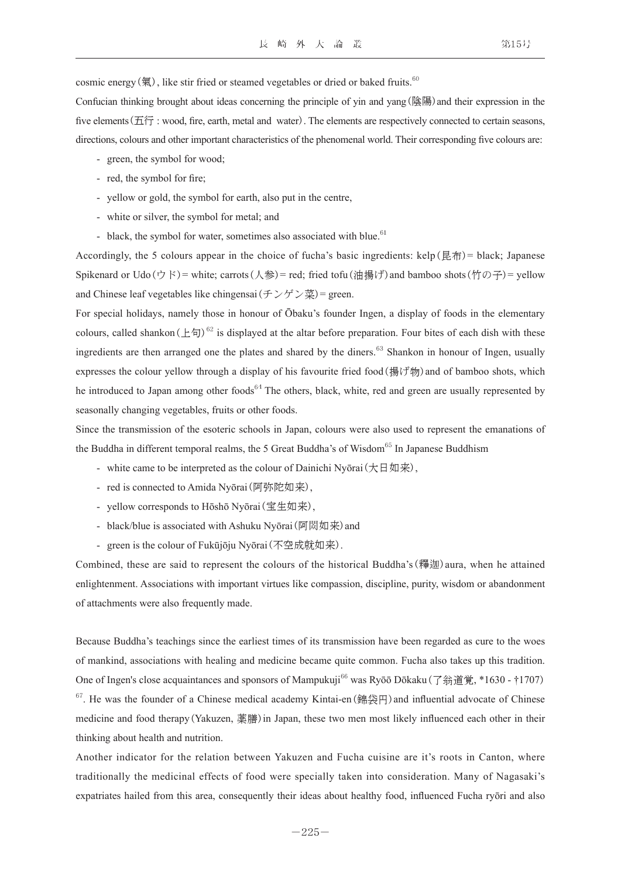cosmic energy(氣), like stir fried or steamed vegetables or dried or baked fruits.<sup>60</sup>

Confucian thinking brought about ideas concerning the principle of yin and yang(陰陽) and their expression in the five elements (五行 : wood, fire, earth, metal and water). The elements are respectively connected to certain seasons, directions, colours and other important characteristics of the phenomenal world. Their corresponding five colours are:

- green, the symbol for wood;
- red, the symbol for fire;
- yellow or gold, the symbol for earth, also put in the centre,
- white or silver, the symbol for metal; and
- black, the symbol for water, sometimes also associated with blue.<sup>61</sup>

Accordingly, the 5 colours appear in the choice of fucha's basic ingredients: kelp(昆布)= black; Japanese Spikenard or Udo(ウド)= white; carrots(人参)= red; fried tofu(油揚げ) and bamboo shots(竹の子)= yellow and Chinese leaf vegetables like chingensai $(\pm \sqrt{y}) \times \frac{1}{\sqrt{x}}$  = green.

For special holidays, namely those in honour of Ōbaku's founder Ingen, a display of foods in the elementary colours, called shankon( $\pm \pi$ )<sup>62</sup> is displayed at the altar before preparation. Four bites of each dish with these ingredients are then arranged one the plates and shared by the diners.<sup>63</sup> Shankon in honour of Ingen, usually expresses the colour yellow through a display of his favourite fried food(揚げ物) and of bamboo shots, which he introduced to Japan among other foods<sup>64</sup> The others, black, white, red and green are usually represented by seasonally changing vegetables, fruits or other foods.

Since the transmission of the esoteric schools in Japan, colours were also used to represent the emanations of the Buddha in different temporal realms, the 5 Great Buddha's of Wisdom<sup>65</sup> In Japanese Buddhism

- white came to be interpreted as the colour of Dainichi Nyōrai(大日如来),
- red is connected to Amida Nyōrai(阿弥陀如来),
- yellow corresponds to Hōshō Nyōrai(宝生如来),
- black/blue is associated with Ashuku Nyōrai (阿閦如来) and
- green is the colour of Fukūjōju Nyōrai(不空成就如来).

Combined, these are said to represent the colours of the historical Buddha's(釋迦)aura, when he attained enlightenment. Associations with important virtues like compassion, discipline, purity, wisdom or abandonment of attachments were also frequently made.

Because Buddha's teachings since the earliest times of its transmission have been regarded as cure to the woes of mankind, associations with healing and medicine became quite common. Fucha also takes up this tradition. One of Ingen's close acquaintances and sponsors of Mampukuji<sup>66</sup> was Ryōō Dōkaku (了翁道覚, \*1630 - †1707)  $67$ . He was the founder of a Chinese medical academy Kintai-en(錦袋円) and influential advocate of Chinese medicine and food therapy(Yakuzen, 薬膳)in Japan, these two men most likely influenced each other in their thinking about health and nutrition.

Another indicator for the relation between Yakuzen and Fucha cuisine are it's roots in Canton, where traditionally the medicinal effects of food were specially taken into consideration. Many of Nagasaki's expatriates hailed from this area, consequently their ideas about healthy food, influenced Fucha ryōri and also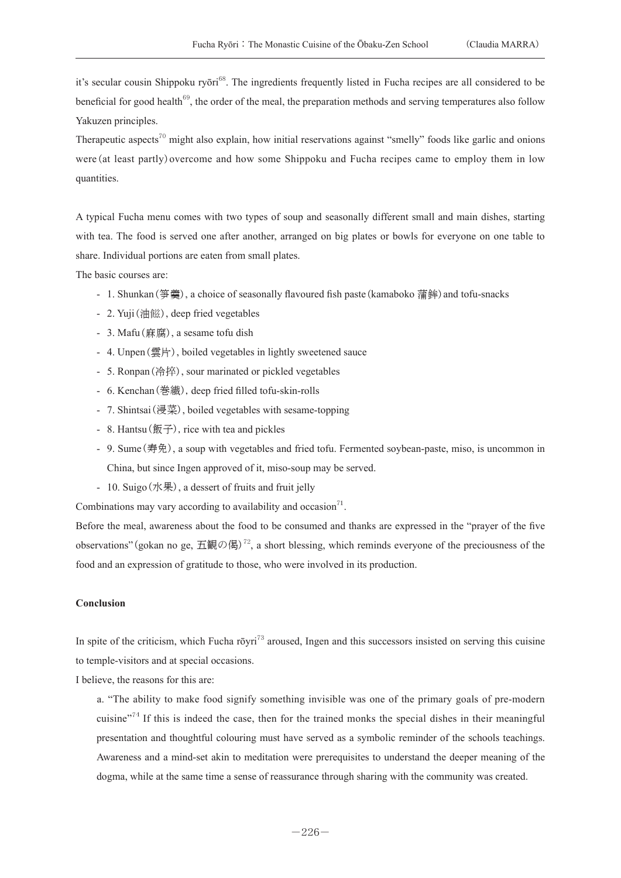it's secular cousin Shippoku ryōri<sup>68</sup>. The ingredients frequently listed in Fucha recipes are all considered to be beneficial for good health<sup>69</sup>, the order of the meal, the preparation methods and serving temperatures also follow Yakuzen principles.

Therapeutic aspects<sup>70</sup> might also explain, how initial reservations against "smelly" foods like garlic and onions were (at least partly) overcome and how some Shippoku and Fucha recipes came to employ them in low quantities.

A typical Fucha menu comes with two types of soup and seasonally different small and main dishes, starting with tea. The food is served one after another, arranged on big plates or bowls for everyone on one table to share. Individual portions are eaten from small plates.

The basic courses are:

- 1. Shunkan(笋羹), a choice of seasonally flavoured fish paste(kamaboko 蒲鉾)and tofu-snacks
- 2. Yuji (油鰦), deep fried vegetables
- 3. Mafu(麻腐), a sesame tofu dish
- 4. Unpen(雲片), boiled vegetables in lightly sweetened sauce
- 5. Ronpan  $(\hat{\sigma}, \hat{\mathbb{F}})$ , sour marinated or pickled vegetables
- 6. Kenchan(巻繊), deep fried filled tofu-skin-rolls
- 7. Shintsai(浸菜), boiled vegetables with sesame-topping
- 8. Hantsu(飯子), rice with tea and pickles
- - 9. Sume(寿免), a soup with vegetables and fried tofu. Fermented soybean-paste, miso, is uncommon in China, but since Ingen approved of it, miso-soup may be served.
- 10. Suigo(水果), a dessert of fruits and fruit jelly

Combinations may vary according to availability and occasion $<sup>71</sup>$ .</sup>

Before the meal, awareness about the food to be consumed and thanks are expressed in the "prayer of the five observations" (gokan no ge, 五観の偈)<sup>72</sup>, a short blessing, which reminds everyone of the preciousness of the food and an expression of gratitude to those, who were involved in its production.

### **Conclusion**

In spite of the criticism, which Fucha rōyri<sup>73</sup> aroused, Ingen and this successors insisted on serving this cuisine to temple-visitors and at special occasions.

I believe, the reasons for this are:

 a. "The ability to make food signify something invisible was one of the primary goals of pre-modern cuisine"<sup>74</sup> If this is indeed the case, then for the trained monks the special dishes in their meaningful presentation and thoughtful colouring must have served as a symbolic reminder of the schools teachings. Awareness and a mind-set akin to meditation were prerequisites to understand the deeper meaning of the dogma, while at the same time a sense of reassurance through sharing with the community was created.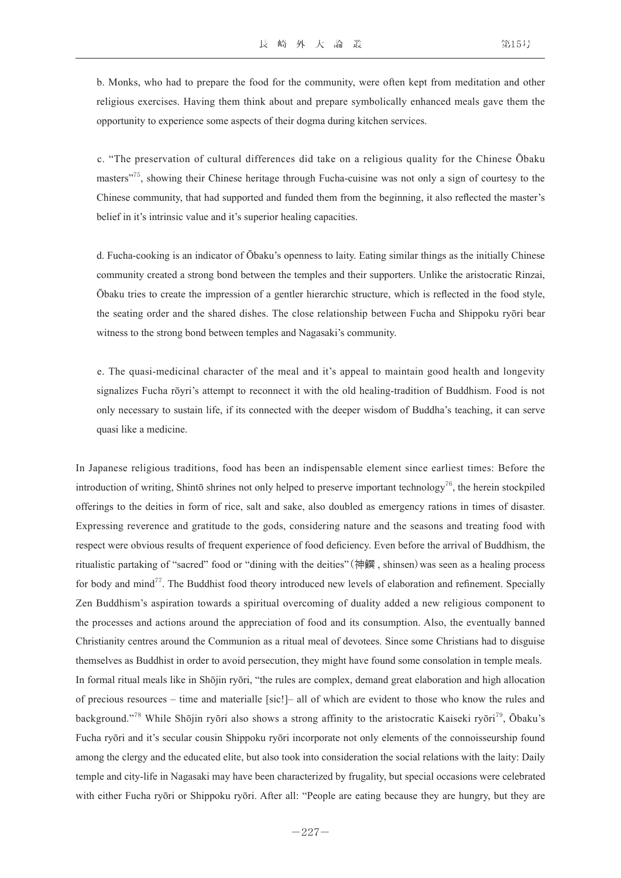b. Monks, who had to prepare the food for the community, were often kept from meditation and other religious exercises. Having them think about and prepare symbolically enhanced meals gave them the opportunity to experience some aspects of their dogma during kitchen services.

 c. "The preservation of cultural differences did take on a religious quality for the Chinese Ōbaku masters"<sup>75</sup>, showing their Chinese heritage through Fucha-cuisine was not only a sign of courtesy to the Chinese community, that had supported and funded them from the beginning, it also reflected the master's belief in it's intrinsic value and it's superior healing capacities.

 d. Fucha-cooking is an indicator of Ōbaku's openness to laity. Eating similar things as the initially Chinese community created a strong bond between the temples and their supporters. Unlike the aristocratic Rinzai, Ōbaku tries to create the impression of a gentler hierarchic structure, which is reflected in the food style, the seating order and the shared dishes. The close relationship between Fucha and Shippoku ryōri bear witness to the strong bond between temples and Nagasaki's community.

 e. The quasi-medicinal character of the meal and it's appeal to maintain good health and longevity signalizes Fucha rōyri's attempt to reconnect it with the old healing-tradition of Buddhism. Food is not only necessary to sustain life, if its connected with the deeper wisdom of Buddha's teaching, it can serve quasi like a medicine.

In Japanese religious traditions, food has been an indispensable element since earliest times: Before the introduction of writing, Shintō shrines not only helped to preserve important technology<sup>76</sup>, the herein stockpiled offerings to the deities in form of rice, salt and sake, also doubled as emergency rations in times of disaster. Expressing reverence and gratitude to the gods, considering nature and the seasons and treating food with respect were obvious results of frequent experience of food deficiency. Even before the arrival of Buddhism, the ritualistic partaking of "sacred" food or "dining with the deities"(神饌 , shinsen)was seen as a healing process for body and mind<sup>77</sup>. The Buddhist food theory introduced new levels of elaboration and refinement. Specially Zen Buddhism's aspiration towards a spiritual overcoming of duality added a new religious component to the processes and actions around the appreciation of food and its consumption. Also, the eventually banned Christianity centres around the Communion as a ritual meal of devotees. Since some Christians had to disguise themselves as Buddhist in order to avoid persecution, they might have found some consolation in temple meals. In formal ritual meals like in Shōjin ryōri, "the rules are complex, demand great elaboration and high allocation of precious resources – time and materialle [sic!]– all of which are evident to those who know the rules and background."<sup>78</sup> While Shōjin ryōri also shows a strong affinity to the aristocratic Kaiseki ryōri<sup>79</sup>, Ōbaku's Fucha ryōri and it's secular cousin Shippoku ryōri incorporate not only elements of the connoisseurship found among the clergy and the educated elite, but also took into consideration the social relations with the laity: Daily temple and city-life in Nagasaki may have been characterized by frugality, but special occasions were celebrated with either Fucha ryōri or Shippoku ryōri. After all: "People are eating because they are hungry, but they are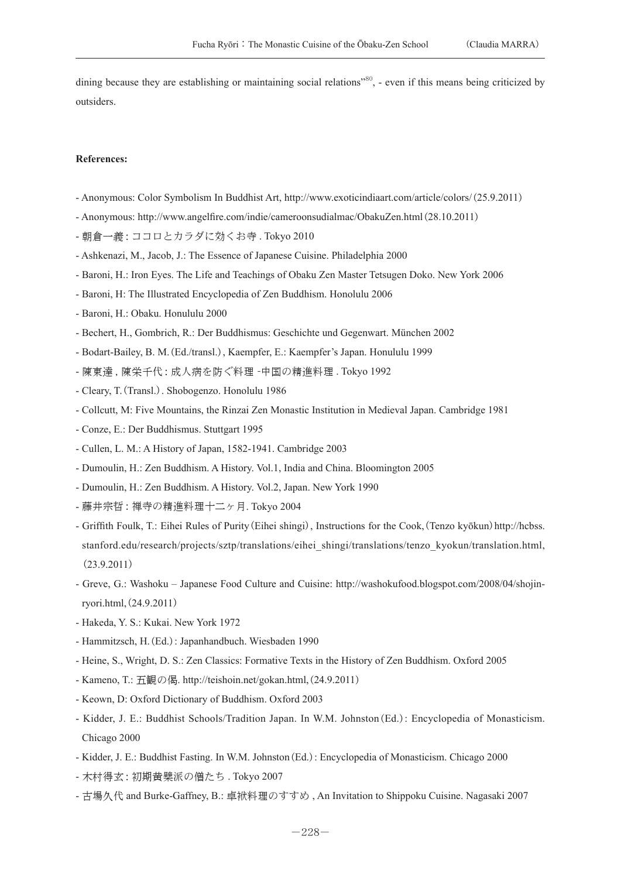dining because they are establishing or maintaining social relations"<sup>80</sup>, - even if this means being criticized by outsiders.

#### **References:**

- Anonymous: Color Symbolism In Buddhist Art, http://www.exoticindiaart.com/article/colors/(25.9.2011)
- Anonymous: http://www.angelfire.com/indie/cameroonsudialmac/ObakuZen.html(28.10.2011)
- 朝倉一義 : ココロとカラダに効くお寺 . Tokyo 2010
- Ashkenazi, M., Jacob, J.: The Essence of Japanese Cuisine. Philadelphia 2000
- Baroni, H.: Iron Eyes. The Life and Teachings of Obaku Zen Master Tetsugen Doko. New York 2006
- Baroni, H: The Illustrated Encyclopedia of Zen Buddhism. Honolulu 2006
- Baroni, H.: Obaku. Honululu 2000
- Bechert, H., Gombrich, R.: Der Buddhismus: Geschichte und Gegenwart. München 2002
- Bodart-Bailey, B. M.(Ed./transl.), Kaempfer, E.: Kaempfer's Japan. Honululu 1999
- 陳東達 , 陳栄千代 : 成人病を防ぐ料理 -中国の精進料理 . Tokyo 1992
- Cleary, T.(Transl.). Shobogenzo. Honolulu 1986
- Collcutt, M: Five Mountains, the Rinzai Zen Monastic Institution in Medieval Japan. Cambridge 1981
- Conze, E.: Der Buddhismus. Stuttgart 1995
- Cullen, L. M.: A History of Japan, 1582-1941. Cambridge 2003
- Dumoulin, H.: Zen Buddhism. A History. Vol.1, India and China. Bloomington 2005
- Dumoulin, H.: Zen Buddhism. A History. Vol.2, Japan. New York 1990
- 藤井宗哲 : 禅寺の精進料理十二ヶ月. Tokyo 2004
- Griffith Foulk, T.: Eihei Rules of Purity (Eihei shingi), Instructions for the Cook, (Tenzo kyōkun) http://hcbss. stanford.edu/research/projects/sztp/translations/eihei\_shingi/translations/tenzo\_kyokun/translation.html, (23.9.2011)
- Greve, G.: Washoku Japanese Food Culture and Cuisine: http://washokufood.blogspot.com/2008/04/shojinryori.html,(24.9.2011)
- Hakeda, Y. S.: Kukai. New York 1972
- Hammitzsch, H.(Ed.): Japanhandbuch. Wiesbaden 1990
- Heine, S., Wright, D. S.: Zen Classics: Formative Texts in the History of Zen Buddhism. Oxford 2005
- Kameno, T.: 五観の偈. http://teishoin.net/gokan.html,(24.9.2011)
- Keown, D: Oxford Dictionary of Buddhism. Oxford 2003
- Kidder, J. E.: Buddhist Schools/Tradition Japan. In W.M. Johnston(Ed.): Encyclopedia of Monasticism. Chicago 2000
- Kidder, J. E.: Buddhist Fasting. In W.M. Johnston(Ed.): Encyclopedia of Monasticism. Chicago 2000
- 木村得玄 : 初期黄檗派の僧たち . Tokyo 2007
- 古場久代 and Burke-Gaffney, B.: 卓袱料理のすすめ , An Invitation to Shippoku Cuisine. Nagasaki 2007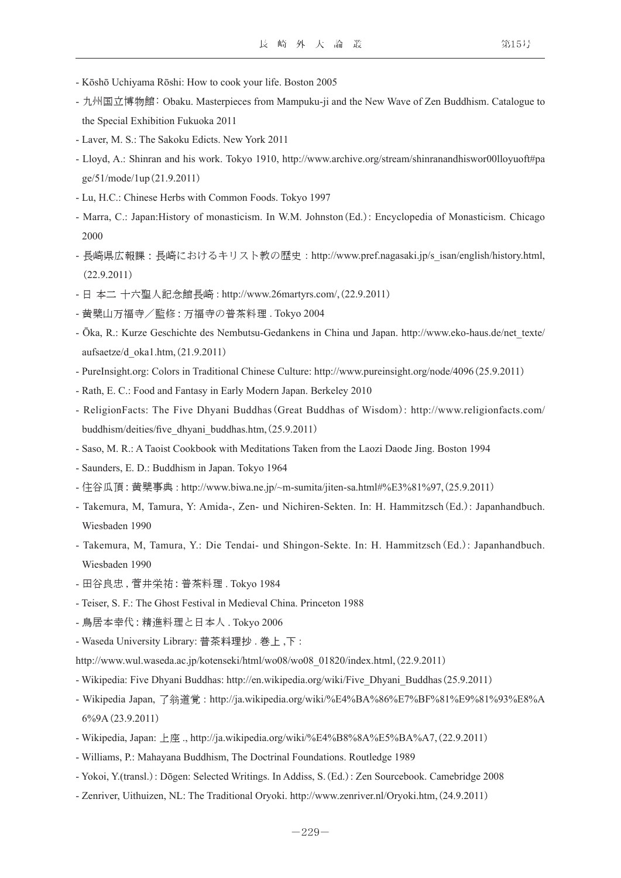- Kōshō Uchiyama Rōshi: How to cook your life. Boston 2005
- 九州国立博物館: Obaku. Masterpieces from Mampuku-ji and the New Wave of Zen Buddhism. Catalogue to the Special Exhibition Fukuoka 2011
- Laver, M. S.: The Sakoku Edicts. New York 2011
- Lloyd, A.: Shinran and his work. Tokyo 1910, http://www.archive.org/stream/shinranandhiswor00lloyuoft#pa ge/51/mode/1up(21.9.2011)
- Lu, H.C.: Chinese Herbs with Common Foods. Tokyo 1997
- Marra, C.: Japan:History of monasticism. In W.M. Johnston(Ed.): Encyclopedia of Monasticism. Chicago 2000
- 長崎県広報課:長崎におけるキリスト教の歴史: http://www.pref.nagasaki.jp/s\_isan/english/history.html, (22.9.2011)
- 日 本二 十六聖人記念館長崎 : http://www.26martyrs.com/,(22.9.2011)
- 黄檗山万福寺/監修 : 万福寺の普茶料理 . Tokyo 2004
- Ōka, R.: Kurze Geschichte des Nembutsu-Gedankens in China und Japan. http://www.eko-haus.de/net\_texte/ aufsaetze/d\_oka1.htm,(21.9.2011)
- PureInsight.org: Colors in Traditional Chinese Culture: http://www.pureinsight.org/node/4096(25.9.2011)
- Rath, E. C.: Food and Fantasy in Early Modern Japan. Berkeley 2010
- ReligionFacts: The Five Dhyani Buddhas(Great Buddhas of Wisdom): http://www.religionfacts.com/ buddhism/deities/five\_dhyani\_buddhas.htm,(25.9.2011)
- Saso, M. R.: A Taoist Cookbook with Meditations Taken from the Laozi Daode Jing. Boston 1994
- Saunders, E. D.: Buddhism in Japan. Tokyo 1964
- 住谷瓜頂 : 黄檗事典 : http://www.biwa.ne.jp/~m-sumita/jiten-sa.html#%E3%81%97,(25.9.2011)
- Takemura, M, Tamura, Y: Amida-, Zen- und Nichiren-Sekten. In: H. Hammitzsch(Ed.): Japanhandbuch. Wiesbaden 1990
- Takemura, M, Tamura, Y.: Die Tendai- und Shingon-Sekte. In: H. Hammitzsch(Ed.): Japanhandbuch. Wiesbaden 1990
- 田谷良忠 , 菅井栄祐 : 普茶料理 . Tokyo 1984
- Teiser, S. F.: The Ghost Festival in Medieval China. Princeton 1988
- 鳥居本幸代 : 精進料理と日本人 . Tokyo 2006
- Waseda University Library: 普茶料理抄 . 巻上 ,下 :
- http://www.wul.waseda.ac.jp/kotenseki/html/wo08/wo08\_01820/index.html,(22.9.2011)
- Wikipedia: Five Dhyani Buddhas: http://en.wikipedia.org/wiki/Five\_Dhyani\_Buddhas(25.9.2011)
- Wikipedia Japan, 了翁道覚 : http://ja.wikipedia.org/wiki/%E4%BA%86%E7%BF%81%E9%81%93%E8%A 6%9A (23.9.2011)
- Wikipedia, Japan: 上座 ., http://ja.wikipedia.org/wiki/%E4%B8%8A%E5%BA%A7,(22.9.2011)
- Williams, P.: Mahayana Buddhism, The Doctrinal Foundations. Routledge 1989
- Yokoi, Y.(transl.): Dōgen: Selected Writings. In Addiss, S.(Ed.): Zen Sourcebook. Camebridge 2008
- Zenriver, Uithuizen, NL: The Traditional Oryoki. http://www.zenriver.nl/Oryoki.htm,(24.9.2011)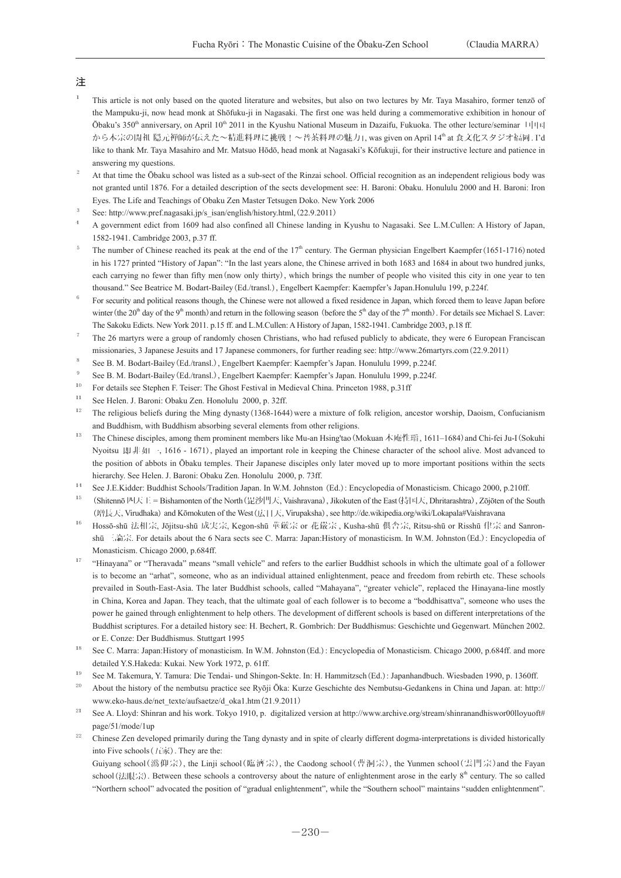# 注

- <sup>1</sup> This article is not only based on the quoted literature and websites, but also on two lectures by Mr. Taya Masahiro, former tenzō of the Mampuku-ji, now head monk at Shōfuku-ji in Nagasaki. The first one was held during a commemorative exhibition in honour of Ōbaku's 350<sup>th</sup> anniversary, on April 10<sup>th</sup> 2011 in the Kyushu National Museum in Dazaifu, Fukuoka. The other lecture/seminar 「中国 から本宗の開祖 隠元禅師が伝えた~精進料理に挑戦!~普茶料理の魅力」, was given on April 14th at 食文化スタジオ福岡. I'd like to thank Mr. Taya Masahiro and Mr. Matsuo Hōdō, head monk at Nagasaki's Kōfukuji, for their instructive lecture and patience in answering my questions.
- <sup>2</sup> At that time the Ōbaku school was listed as a sub-sect of the Rinzai school. Official recognition as an independent religious body was not granted until 1876. For a detailed description of the sects development see: H. Baroni: Obaku. Honululu 2000 and H. Baroni: Iron Eyes. The Life and Teachings of Obaku Zen Master Tetsugen Doko. New York 2006
- See: http://www.pref.nagasaki.jp/s\_isan/english/history.html,(22.9.2011)
- <sup>4</sup> A government edict from 1609 had also confined all Chinese landing in Kyushu to Nagasaki. See L.M.Cullen: A History of Japan, 1582-1941. Cambridge 2003, p.37 ff.
- <sup>5</sup> The number of Chinese reached its peak at the end of the  $17<sup>th</sup>$  century. The German physician Engelbert Kaempfer(1651-1716) noted in his 1727 printed "History of Japan": "In the last years alone, the Chinese arrived in both 1683 and 1684 in about two hundred junks, each carrying no fewer than fifty men(now only thirty), which brings the number of people who visited this city in one year to ten thousand." See Beatrice M. Bodart-Bailey(Ed./transl.), Engelbert Kaempfer: Kaempfer's Japan.Honululu 199, p.224f.
- <sup>6</sup> For security and political reasons though, the Chinese were not allowed a fixed residence in Japan, which forced them to leave Japan before winter (the 20<sup>th</sup> day of the 9<sup>th</sup> month) and return in the following season (before the 5<sup>th</sup> day of the 7<sup>th</sup> month). For details see Michael S. Laver: The Sakoku Edicts. New York 2011. p.15 ff. and L.M.Cullen: A History of Japan, 1582-1941. Cambridge 2003, p.18 ff.
- <sup>7</sup> The 26 martyrs were a group of randomly chosen Christians, who had refused publicly to abdicate, they were 6 European Franciscan missionaries, 3 Japanese Jesuits and 17 Japanese commoners, for further reading see: http://www.26martyrs.com(22.9.2011)
- <sup>8</sup> See B. M. Bodart-Bailey(Ed./transl.), Engelbert Kaempfer: Kaempfer's Japan. Honululu 1999, p.224f.
- <sup>9</sup> See B. M. Bodart-Bailey (Ed./transl.), Engelbert Kaempfer: Kaempfer's Japan. Honululu 1999, p.224f.
- <sup>10</sup> For details see Stephen F. Teiser: The Ghost Festival in Medieval China. Princeton 1988, p.31ff
- <sup>11</sup> See Helen. J. Baroni: Obaku Zen. Honolulu 2000, p. 32ff.
- <sup>12</sup> The religious beliefs during the Ming dynasty (1368-1644) were a mixture of folk religion, ancestor worship, Daoism, Confucianism and Buddhism, with Buddhism absorbing several elements from other religions.
- <sup>13</sup> The Chinese disciples, among them prominent members like Mu-an Hsing'tao (Mokuan 木庵性瑫, 1611–1684) and Chi-fei Ju-I (Sokuhi Nyoitsu 即非如一, 1616 - 1671), played an important role in keeping the Chinese character of the school alive. Most advanced to the position of abbots in Ōbaku temples. Their Japanese disciples only later moved up to more important positions within the sects hierarchy. See Helen. J. Baroni: Obaku Zen. Honolulu 2000, p. 73ff.
- <sup>14</sup> See J.E.Kidder: Buddhist Schools/Tradition Japan. In W.M. Johnston (Ed.): Encyclopedia of Monasticism. Chicago 2000, p.210ff.
- <sup>15</sup> (Shitennō 四天王 = Bishamonten of the North(毘沙門天, Vaishravana), Jikokuten of the East(持国天, Dhritarashtra), Zōjōten of the South (増長天, Virudhaka) and Kōmokuten of the West(広目天, Virupaksha), see http://de.wikipedia.org/wiki/Lokapala#Vaishravana
- <sup>16</sup> Hossō-shū 法相宗, Jōjitsu-shū 成実宗, Kegon-shū 華厳宗 or 花嚴宗, Kusha-shū 俱舎宗, Ritsu-shū or Risshū 律宗 and Sanronshū 三論宗. For details about the 6 Nara sects see C. Marra: Japan:History of monasticism. In W.M. Johnston(Ed.): Encyclopedia of Monasticism. Chicago 2000, p.684ff.
- <sup>17</sup> "Hinayana" or "Theravada" means "small vehicle" and refers to the earlier Buddhist schools in which the ultimate goal of a follower is to become an "arhat", someone, who as an individual attained enlightenment, peace and freedom from rebirth etc. These schools prevailed in South-East-Asia. The later Buddhist schools, called "Mahayana", "greater vehicle", replaced the Hinayana-line mostly in China, Korea and Japan. They teach, that the ultimate goal of each follower is to become a "boddhisattva", someone who uses the power he gained through enlightenment to help others. The development of different schools is based on different interpretations of the Buddhist scriptures. For a detailed history see: H. Bechert, R. Gombrich: Der Buddhismus: Geschichte und Gegenwart. München 2002. or E. Conze: Der Buddhismus. Stuttgart 1995
- <sup>18</sup> See C. Marra: Japan:History of monasticism. In W.M. Johnston (Ed.): Encyclopedia of Monasticism. Chicago 2000, p.684ff. and more detailed Y.S.Hakeda: Kukai. New York 1972, p. 61ff.
- <sup>19</sup> See M. Takemura, Y. Tamura: Die Tendai- und Shingon-Sekte. In: H. Hammitzsch(Ed.): Japanhandbuch. Wiesbaden 1990, p. 1360ff.
- <sup>20</sup> About the history of the nembutsu practice see Ryōji Ōka: Kurze Geschichte des Nembutsu-Gedankens in China und Japan. at: http:// www.eko-haus.de/net\_texte/aufsaetze/d\_oka1.htm(21.9.2011)
- <sup>21</sup> See A. Lloyd: Shinran and his work. Tokyo 1910, p. digitalized version at http://www.archive.org/stream/shinranandhiswor00lloyuoft# page/51/mode/1up
- <sup>22</sup> Chinese Zen developed primarily during the Tang dynasty and in spite of clearly different dogma-interpretations is divided historically into Five schools  $( \pm \hat{\mathbb{R}} )$ . They are the:

 Guiyang school(潙仰宗), the Linji school(臨濟宗), the Caodong school(曹洞宗), the Yunmen school(雲門宗)and the Fayan school (法眼宗). Between these schools a controversy about the nature of enlightenment arose in the early  $8<sup>th</sup>$  century. The so called "Northern school" advocated the position of "gradual enlightenment", while the "Southern school" maintains "sudden enlightenment".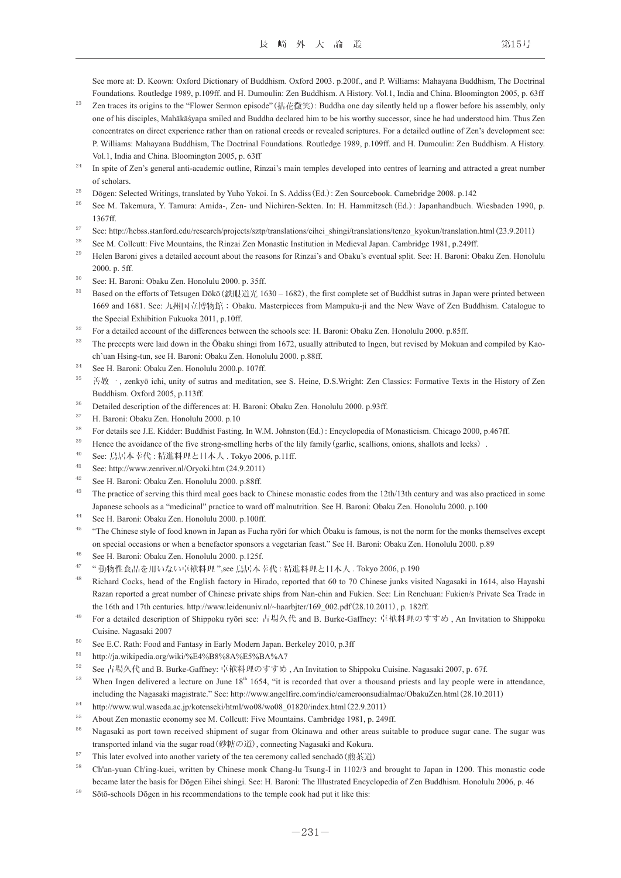See more at: D. Keown: Oxford Dictionary of Buddhism. Oxford 2003. p.200f., and P. Williams: Mahayana Buddhism, The Doctrinal Foundations. Routledge 1989, p.109ff. and H. Dumoulin: Zen Buddhism. A History. Vol.1, India and China. Bloomington 2005, p. 63ff

- <sup>23</sup> Zen traces its origins to the "Flower Sermon episode" (拈花微笑): Buddha one day silently held up a flower before his assembly, only one of his disciples, Mahākāśyapa smiled and Buddha declared him to be his worthy successor, since he had understood him. Thus Zen concentrates on direct experience rather than on rational creeds or revealed scriptures. For a detailed outline of Zen's development see: P. Williams: Mahayana Buddhism, The Doctrinal Foundations. Routledge 1989, p.109ff. and H. Dumoulin: Zen Buddhism. A History. Vol.1, India and China. Bloomington 2005, p. 63ff
- <sup>24</sup> In spite of Zen's general anti-academic outline, Rinzai's main temples developed into centres of learning and attracted a great number of scholars.
- <sup>25</sup> Dōgen: Selected Writings, translated by Yuho Yokoi. In S. Addiss (Ed.): Zen Sourcebook. Camebridge 2008. p.142
- <sup>26</sup> See M. Takemura, Y. Tamura: Amida-, Zen- und Nichiren-Sekten. In: H. Hammitzsch (Ed.): Japanhandbuch. Wiesbaden 1990, p. 1367ff.
- <sup>27</sup> See: http://hcbss.stanford.edu/research/projects/sztp/translations/eihei\_shingi/translations/tenzo\_kyokun/translation.html(23.9.2011)
- <sup>28</sup> See M. Collcutt: Five Mountains, the Rinzai Zen Monastic Institution in Medieval Japan. Cambridge 1981, p. 249ff.
- <sup>29</sup> Helen Baroni gives a detailed account about the reasons for Rinzai's and Obaku's eventual split. See: H. Baroni: Obaku Zen. Honolulu 2000. p. 5ff.
- <sup>30</sup> See: H. Baroni: Obaku Zen. Honolulu 2000. p. 35ff.
- <sup>31</sup> Based on the efforts of Tetsugen Dōkō (鉄眼道光 1630 1682), the first complete set of Buddhist sutras in Japan were printed between 1669 and 1681. See: 九州国立博物館: Obaku. Masterpieces from Mampuku-ji and the New Wave of Zen Buddhism. Catalogue to the Special Exhibition Fukuoka 2011, p.10ff.
- <sup>32</sup> For a detailed account of the differences between the schools see: H. Baroni: Obaku Zen. Honolulu 2000. p.85ff.
- <sup>33</sup> The precepts were laid down in the Ōbaku shingi from 1672, usually attributed to Ingen, but revised by Mokuan and compiled by Kaoch'uan Hsing-tun, see H. Baroni: Obaku Zen. Honolulu 2000. p.88ff.
- <sup>34</sup> See H. Baroni: Obaku Zen. Honolulu 2000.p. 107ff.
- <sup>35</sup> 善教一, zenkyō ichi, unity of sutras and meditation, see S. Heine, D.S.Wright: Zen Classics: Formative Texts in the History of Zen Buddhism. Oxford 2005, p.113ff.
- <sup>36</sup> Detailed description of the differences at: H. Baroni: Obaku Zen. Honolulu 2000. p.93ff.
- <sup>37</sup> H. Baroni: Obaku Zen. Honolulu 2000. p.10
- <sup>38</sup> For details see J.E. Kidder: Buddhist Fasting. In W.M. Johnston(Ed.): Encyclopedia of Monasticism. Chicago 2000, p.467ff.
- <sup>39</sup> Hence the avoidance of the five strong-smelling herbs of the lily family (garlic, scallions, onions, shallots and leeks).
- <sup>40</sup> See: 鳥居本幸代 : 精進料理と日本人 . Tokyo 2006, p.11ff.
- <sup>41</sup> See: http://www.zenriver.nl/Oryoki.htm(24.9.2011)
- <sup>42</sup> See H. Baroni: Obaku Zen. Honolulu 2000. p.88ff.
- <sup>43</sup> The practice of serving this third meal goes back to Chinese monastic codes from the 12th/13th century and was also practiced in some Japanese schools as a "medicinal" practice to ward off malnutrition. See H. Baroni: Obaku Zen. Honolulu 2000. p.100
- <sup>44</sup> See H. Baroni: Obaku Zen. Honolulu 2000. p.100ff.
- <sup>45</sup> "The Chinese style of food known in Japan as Fucha ryōri for which Ōbaku is famous, is not the norm for the monks themselves except on special occasions or when a benefactor sponsors a vegetarian feast." See H. Baroni: Obaku Zen. Honolulu 2000. p.89
- <sup>46</sup> See H. Baroni: Obaku Zen. Honolulu 2000. p.125f.
- $47$  "動物性食品を用いない卓袱料理",see 鳥居本幸代:精進料理と日本人. Tokyo 2006, p.190
- <sup>48</sup> Richard Cocks, head of the English factory in Hirado, reported that 60 to 70 Chinese junks visited Nagasaki in 1614, also Hayashi Razan reported a great number of Chinese private ships from Nan-chin and Fukien. See: Lin Renchuan: Fukien/s Private Sea Trade in the 16th and 17th centuries. http://www.leidenuniv.nl/~haarbjter/169\_002.pdf(28.10.2011), p. 182ff.
- <sup>49</sup> For a detailed description of Shippoku ryōri see: 古場久代 and B. Burke-Gaffney: 卓袱料理のすすめ, An Invitation to Shippoku Cuisine. Nagasaki 2007
- <sup>50</sup> See E.C. Rath: Food and Fantasy in Early Modern Japan. Berkeley 2010, p.3ff
- <sup>51</sup> http://ja.wikipedia.org/wiki/%E4%B8%8A%E5%BA%A7
- <sup>52</sup> See 古場久代 and B. Burke-Gaffney: 卓袱料理のすすめ , An Invitation to Shippoku Cuisine. Nagasaki 2007, p. 67f.
- $53$  When Ingen delivered a lecture on June  $18<sup>th</sup> 1654$ , "it is recorded that over a thousand priests and lay people were in attendance, including the Nagasaki magistrate." See: http://www.angelfire.com/indie/cameroonsudialmac/ObakuZen.html(28.10.2011)
- <sup>54</sup> http://www.wul.waseda.ac.jp/kotenseki/html/wo08/wo08\_01820/index.html(22.9.2011)
- <sup>55</sup> About Zen monastic economy see M. Collcutt: Five Mountains. Cambridge 1981, p. 249ff.
- <sup>56</sup> Nagasaki as port town received shipment of sugar from Okinawa and other areas suitable to produce sugar cane. The sugar was transported inland via the sugar road (砂糖の道), connecting Nagasaki and Kokura.
- $57$  This later evolved into another variety of the tea ceremony called senchadō (煎茶道)
- <sup>58</sup> Ch'an-yuan Ch'ing-kuei, written by Chinese monk Chang-lu Tsung-I in 1102/3 and brought to Japan in 1200. This monastic code became later the basis for Dōgen Eihei shingi. See: H. Baroni: The Illustrated Encyclopedia of Zen Buddhism. Honolulu 2006, p. 46
- <sup>59</sup> Sōtō-schools Dōgen in his recommendations to the temple cook had put it like this: